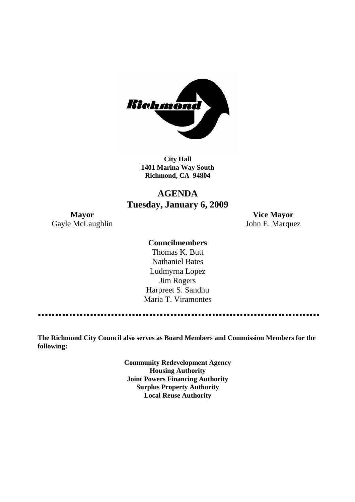

**City Hall 1401 Marina Way South Richmond, CA 94804**

# **AGENDA Tuesday, January 6, 2009**

Gayle McLaughlin John E. Marquez

**Mayor Vice Mayor**

# **Councilmembers**

Thomas K. Butt Nathaniel Bates Ludmyrna Lopez Jim Rogers Harpreet S. Sandhu Maria T. Viramontes

**The Richmond City Council also serves as Board Members and Commission Members for the following:**

> **Community Redevelopment Agency Housing Authority Joint Powers Financing Authority Surplus Property Authority Local Reuse Authority**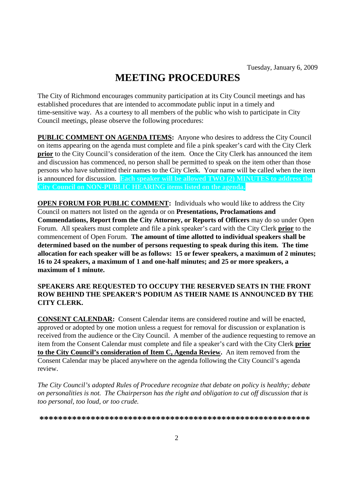# **MEETING PROCEDURES**

The City of Richmond encourages community participation at its City Council meetings and has established procedures that are intended to accommodate public input in a timely and time-sensitive way. As a courtesy to all members of the public who wish to participate in City Council meetings, please observe the following procedures:

**PUBLIC COMMENT ON AGENDA ITEMS:** Anyone who desires to address the City Council on items appearing on the agenda must complete and file a pink speaker's card with the City Clerk **prior** to the City Council's consideration of the item. Once the City Clerk has announced the item and discussion has commenced, no person shall be permitted to speak on the item other than those persons who have submitted their names to the City Clerk. Your name will be called when the item is announced for discussion. **Each speaker will be allowed TWO (2) MINUTES to address the City Council on NON-PUBLIC HEARING items listed on the agenda.**

**OPEN FORUM FOR PUBLIC COMMENT:** Individuals who would like to address the City Council on matters not listed on the agenda or on **Presentations, Proclamations and Commendations, Report from the City Attorney, or Reports of Officers** may do so under Open Forum. All speakers must complete and file a pink speaker's card with the City Clerk **prior** to the commencement of Open Forum. **The amount of time allotted to individual speakers shall be determined based on the number of persons requesting to speak during this item. The time allocation for each speaker will be as follows: 15 or fewer speakers, a maximum of 2 minutes; 16 to 24 speakers, a maximum of 1 and one-half minutes; and 25 or more speakers, a maximum of 1 minute.**

### **SPEAKERS ARE REQUESTED TO OCCUPY THE RESERVED SEATS IN THE FRONT ROW BEHIND THE SPEAKER'S PODIUM AS THEIR NAME IS ANNOUNCED BY THE CITY CLERK.**

**CONSENT CALENDAR:** Consent Calendar items are considered routine and will be enacted, approved or adopted by one motion unless a request for removal for discussion or explanation is received from the audience or the City Council. A member of the audience requesting to remove an item from the Consent Calendar must complete and file a speaker's card with the City Clerk **prior to the City Council's consideration of Item C, Agenda Review.** An item removed from the Consent Calendar may be placed anywhere on the agenda following the City Council's agenda review.

*The City Council's adopted Rules of Procedure recognize that debate on policy is healthy; debate on personalities is not. The Chairperson has the right and obligation to cut off discussion that is too personal, too loud, or too crude.*

**\*\*\*\*\*\*\*\*\*\*\*\*\*\*\*\*\*\*\*\*\*\*\*\*\*\*\*\*\*\*\*\*\*\*\*\*\*\*\*\*\*\*\*\*\*\*\*\*\*\*\*\*\*\*\*\*\*\***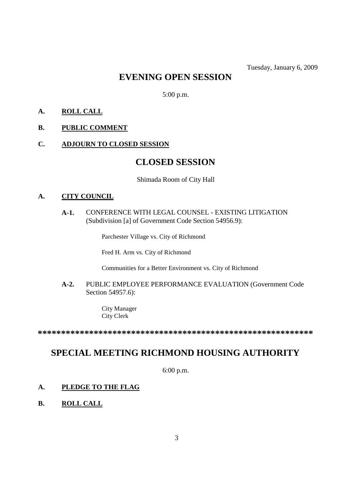# **EVENING OPEN SESSION**

5:00 p.m.

- **A. ROLL CALL**
- **B. PUBLIC COMMENT**
- **C. ADJOURN TO CLOSED SESSION**

# **CLOSED SESSION**

Shimada Room of City Hall

#### **A. CITY COUNCIL**

# **A-1.** CONFERENCE WITH LEGAL COUNSEL - EXISTING LITIGATION (Subdivision [a] of Government Code Section 54956.9):

Parchester Village vs. City of Richmond

Fred H. Arm vs. City of Richmond

Communities for a Better Environment vs. City of Richmond

**A-2.** PUBLIC EMPLOYEE PERFORMANCE EVALUATION (Government Code Section 54957.6):

> City Manager City Clerk

**\*\*\*\*\*\*\*\*\*\*\*\*\*\*\*\*\*\*\*\*\*\*\*\*\*\*\*\*\*\*\*\*\*\*\*\*\*\*\*\*\*\*\*\*\*\*\*\*\*\*\*\*\*\*\*\*\*\*\***

# **SPECIAL MEETING RICHMOND HOUSING AUTHORITY**

6:00 p.m.

### **A. PLEDGE TO THE FLAG**

**B. ROLL CALL**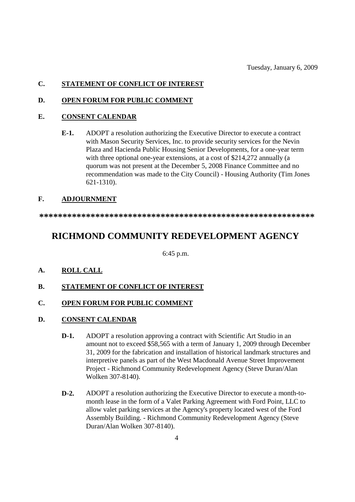Tuesday, January 6, 2009

# **C. STATEMENT OF CONFLICT OF INTEREST**

### **D. OPEN FORUM FOR PUBLIC COMMENT**

### **E. CONSENT CALENDAR**

**E-1.** ADOPT a resolution authorizing the Executive Director to execute a contract with Mason Security Services, Inc. to provide security services for the Nevin Plaza and Hacienda Public Housing Senior Developments, for a one-year term with three optional one-year extensions, at a cost of \$214,272 annually (a quorum was not present at the December 5, 2008 Finance Committee and no recommendation was made to the City Council) - Housing Authority (Tim Jones 621-1310).

# **F. ADJOURNMENT**

**\*\*\*\*\*\*\*\*\*\*\*\*\*\*\*\*\*\*\*\*\*\*\*\*\*\*\*\*\*\*\*\*\*\*\*\*\*\*\*\*\*\*\*\*\*\*\*\*\*\*\*\*\*\*\*\*\*\*\***

# **RICHMOND COMMUNITY REDEVELOPMENT AGENCY**

6:45 p.m.

- **A. ROLL CALL**
- **B. STATEMENT OF CONFLICT OF INTEREST**

# **C. OPEN FORUM FOR PUBLIC COMMENT**

- **D. CONSENT CALENDAR**
	- **D-1.** ADOPT a resolution approving a contract with Scientific Art Studio in an amount not to exceed \$58,565 with a term of January 1, 2009 through December 31, 2009 for the fabrication and installation of historical landmark structures and interpretive panels as part of the West Macdonald Avenue Street Improvement Project - Richmond Community Redevelopment Agency (Steve Duran/Alan Wolken 307-8140).
	- **D-2.** ADOPT a resolution authorizing the Executive Director to execute a month-tomonth lease in the form of a Valet Parking Agreement with Ford Point, LLC to allow valet parking services at the Agency's property located west of the Ford Assembly Building. - Richmond Community Redevelopment Agency (Steve Duran/Alan Wolken 307-8140).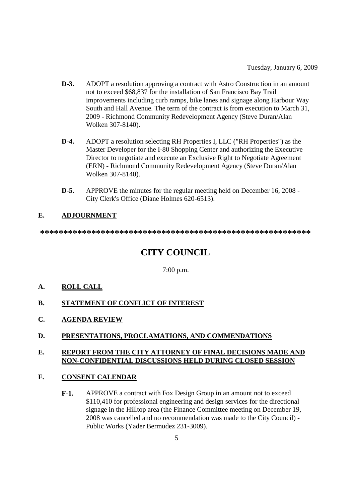- **D-3.** ADOPT a resolution approving a contract with Astro Construction in an amount not to exceed \$68,837 for the installation of San Francisco Bay Trail improvements including curb ramps, bike lanes and signage along Harbour Way South and Hall Avenue. The term of the contract is from execution to March 31, 2009 - Richmond Community Redevelopment Agency (Steve Duran/Alan Wolken 307-8140).
- **D-4.** ADOPT a resolution selecting RH Properties I, LLC ("RH Properties") as the Master Developer for the I-80 Shopping Center and authorizing the Executive Director to negotiate and execute an Exclusive Right to Negotiate Agreement (ERN) - Richmond Community Redevelopment Agency (Steve Duran/Alan Wolken 307-8140).
- **D-5.** APPROVE the minutes for the regular meeting held on December 16, 2008 City Clerk's Office (Diane Holmes 620-6513).

# **E. ADJOURNMENT**

**\*\*\*\*\*\*\*\*\*\*\*\*\*\*\*\*\*\*\*\*\*\*\*\*\*\*\*\*\*\*\*\*\*\*\*\*\*\*\*\*\*\*\*\*\*\*\*\*\*\*\*\*\*\*\*\*\*\***

# **CITY COUNCIL**

7:00 p.m.

- **A. ROLL CALL**
- **B. STATEMENT OF CONFLICT OF INTEREST**
- **C. AGENDA REVIEW**
- **D. PRESENTATIONS, PROCLAMATIONS, AND COMMENDATIONS**

## **E. REPORT FROM THE CITY ATTORNEY OF FINAL DECISIONS MADE AND NON-CONFIDENTIAL DISCUSSIONS HELD DURING CLOSED SESSION**

### **F. CONSENT CALENDAR**

**F-1.** APPROVE a contract with Fox Design Group in an amount not to exceed \$110,410 for professional engineering and design services for the directional signage in the Hilltop area (the Finance Committee meeting on December 19, 2008 was cancelled and no recommendation was made to the City Council) - Public Works (Yader Bermudez 231-3009).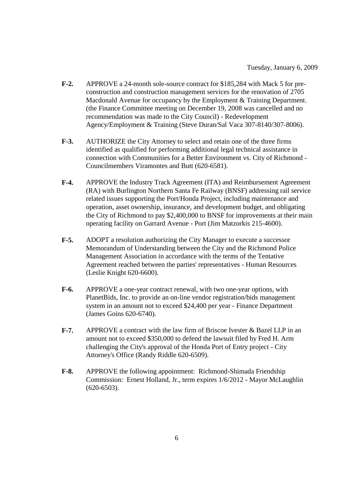- **F-2.** APPROVE a 24-month sole-source contract for \$185,284 with Mack 5 for preconstruction and construction management services for the renovation of 2705 Macdonald Avenue for occupancy by the Employment & Training Department. (the Finance Committee meeting on December 19, 2008 was cancelled and no recommendation was made to the City Council) - Redevelopment Agency/Employment & Training (Steve Duran/Sal Vaca 307-8140/307-8006).
- **F-3.** AUTHORIZE the City Attorney to select and retain one of the three firms identified as qualified for performing additional legal technical assistance in connection with Communities for a Better Environment vs. City of Richmond - Councilmembers Viramontes and Butt (620-6581).
- **F-4.** APPROVE the Industry Track Agreement (ITA) and Reimbursement Agreement (RA) with Burlington Northern Santa Fe Railway (BNSF) addressing rail service related issues supporting the Port/Honda Project, including maintenance and operation, asset ownership, insurance, and development budget, and obligating the City of Richmond to pay \$2,400,000 to BNSF for improvements at their main operating facility on Garrard Avenue - Port (Jim Matzorkis 215-4600).
- **F-5.** ADOPT a resolution authorizing the City Manager to execute a successor Memorandum of Understanding between the City and the Richmond Police Management Association in accordance with the terms of the Tentative Agreement reached between the parties' representatives - Human Resources (Leslie Knight 620-6600).
- **F-6.** APPROVE a one-year contract renewal, with two one-year options, with PlanetBids, Inc. to provide an on-line vendor registration/bids management system in an amount not to exceed \$24,400 per year - Finance Department (James Goins 620-6740).
- **F-7.** APPROVE a contract with the law firm of Briscoe Ivester & Bazel LLP in an amount not to exceed \$350,000 to defend the lawsuit filed by Fred H. Arm challenging the City's approval of the Honda Port of Entry project - City Attorney's Office (Randy Riddle 620-6509).
- **F-8.** APPROVE the following appointment: Richmond-Shimada Friendship Commission: Ernest Holland, Jr., term expires 1/6/2012 - Mayor McLaughlin (620-6503).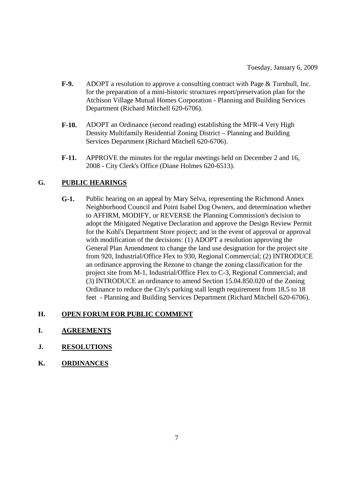- **F-9.** ADOPT a resolution to approve a consulting contract with Page & Turnbull, Inc. for the preparation of a mini-historic structures report/preservation plan for the Atchison Village Mutual Homes Corporation - Planning and Building Services Department (Richard Mitchell 620-6706).
- **F-10.** ADOPT an Ordinance (second reading) establishing the MFR-4 Very High Density Multifamily Residential Zoning District – Planning and Building Services Department (Richard Mitchell 620-6706).
- **F-11.** APPROVE the minutes for the regular meetings held on December 2 and 16, 2008 - City Clerk's Office (Diane Holmes 620-6513).

# **G. PUBLIC HEARINGS**

**G-1.** Public hearing on an appeal by Mary Selva, representing the Richmond Annex Neighborhood Council and Point Isabel Dog Owners, and determination whether to AFFIRM, MODIFY, or REVERSE the Planning Commission's decision to adopt the Mitigated Negative Declaration and approve the Design Review Permit for the Kohl's Department Store project; and in the event of approval or approval with modification of the decisions: (1) ADOPT a resolution approving the General Plan Amendment to change the land use designation for the project site from 920, Industrial/Office Flex to 930, Regional Commercial; (2) INTRODUCE an ordinance approving the Rezone to change the zoning classification for the project site from M-1, Industrial/Office Flex to C-3, Regional Commercial; and (3) INTRODUCE an ordinance to amend Section 15.04.850.020 of the Zoning Ordinance to reduce the City's parking stall length requirement from 18.5 to 18 feet - Planning and Building Services Department (Richard Mitchell 620-6706).

### **H. OPEN FORUM FOR PUBLIC COMMENT**

- **I. AGREEMENTS**
- **J. RESOLUTIONS**
- **K. ORDINANCES**